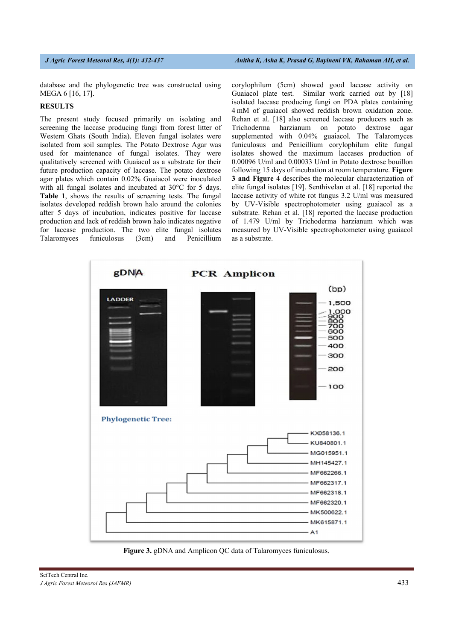database and the phylogenetic tree was constructed using MEGA 6 [16, 17].

### **RESULTS**

The present study focused primarily on isolating and screening the laccase producing fungi from forest litter of Western Ghats (South India). Eleven fungal isolates were isolated from soil samples. The Potato Dextrose Agar was used for maintenance of fungal isolates. They were qualitatively screened with Guaiacol as a substrate for their future production capacity of laccase. The potato dextrose agar plates which contain 0.02% Guaiacol were inoculated with all fungal isolates and incubated at 30°C for 5 days. **Table 1**, shows the results of screening tests. The fungal isolates developed reddish brown halo around the colonies after 5 days of incubation, indicates positive for laccase production and lack of reddish brown halo indicates negative for laccase production. The two elite fungal isolates Talaromyces funiculosus (3cm) and Penicillium

corylophilum (5cm) showed good laccase activity on Guaiacol plate test. Similar work carried out by [18] isolated laccase producing fungi on PDA plates containing 4 mM of guaiacol showed reddish brown oxidation zone. Rehan et al. [18] also screened laccase producers such as Trichoderma harzianum on potato dextrose agar supplemented with 0.04% guaiacol. The Talaromyces funiculosus and Penicillium corylophilum elite fungal isolates showed the maximum laccases production of 0.00096 U/ml and 0.00033 U/ml in Potato dextrose bouillon following 15 days of incubation at room temperature. **Figure 3 and Figure 4** describes the molecular characterization of elite fungal isolates [19]. Senthivelan et al. [18] reported the laccase activity of white rot fungus 3.2 U/ml was measured by UV-Visible spectrophotometer using guaiacol as a substrate. Rehan et al. [18] reported the laccase production of 1.479 U/ml by Trichoderma harzianum which was measured by UV-Visible spectrophotometer using guaiacol as a substrate.



**Figure 3.** gDNA and Amplicon QC data of Talaromyces funiculosus.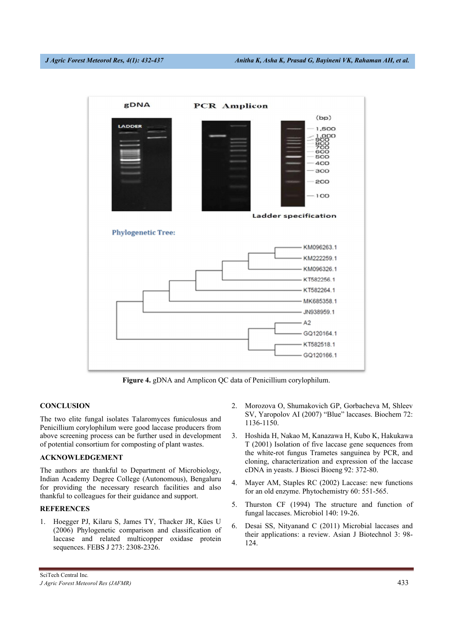

**Figure 4.** gDNA and Amplicon QC data of Penicillium corylophilum.

# **CONCLUSION**

The two elite fungal isolates Talaromyces funiculosus and Penicillium corylophilum were good laccase producers from above screening process can be further used in development of potential consortium for composting of plant wastes.

# **ACKNOWLEDGEMENT**

The authors are thankful to Department of Microbiology, Indian Academy Degree College (Autonomous), Bengaluru for providing the necessary research facilities and also thankful to colleagues for their guidance and support.

# **REFERENCES**

1. Hoegger PJ, Kilaru S, James TY, Thacker JR, Kües U (2006) Phylogenetic comparison and classification of laccase and related multicopper oxidase protein sequences. FEBS J 273: 2308-2326.

- 2. Morozova O, Shumakovich GP, Gorbacheva M, Shleev SV, Yaropolov AI (2007) "Blue" laccases. Biochem 72: 1136-1150.
- 3. Hoshida H, Nakao M, Kanazawa H, Kubo K, Hakukawa T (2001) Isolation of five laccase gene sequences from the white-rot fungus Trametes sanguinea by PCR, and cloning, characterization and expression of the laccase cDNA in yeasts. J Biosci Bioeng 92: 372-80.
- 4. Mayer AM, Staples RC (2002) Laccase: new functions for an old enzyme. Phytochemistry 60: 551-565.
- 5. Thurston CF (1994) The structure and function of fungal laccases. Microbiol 140: 19-26.
- 6. Desai SS, Nityanand C (2011) Microbial laccases and their applications: a review. Asian J Biotechnol 3: 98- 124.